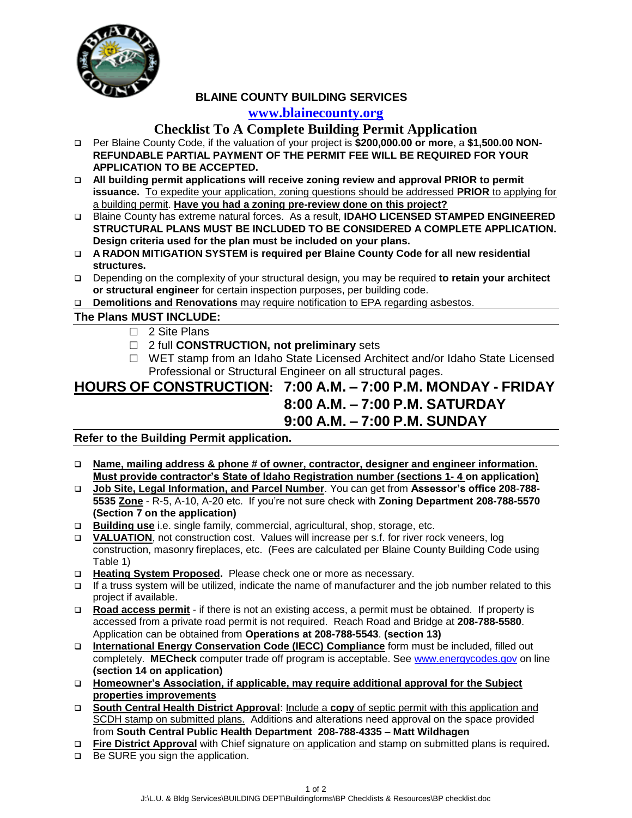

 **BLAINE COUNTY BUILDING SERVICES**

## **[www.blainecounty.org](http://www.blainecounty.org/)**

## **Checklist To A Complete Building Permit Application**

- Per Blaine County Code, if the valuation of your project is **\$200,000.00 or more**, a **\$1,500.00 NON-REFUNDABLE PARTIAL PAYMENT OF THE PERMIT FEE WILL BE REQUIRED FOR YOUR APPLICATION TO BE ACCEPTED.**
- **All building permit applications will receive zoning review and approval PRIOR to permit issuance.** To expedite your application, zoning questions should be addressed **PRIOR** to applying for a building permit. **Have you had a zoning pre-review done on this project?**
- Blaine County has extreme natural forces. As a result, **IDAHO LICENSED STAMPED ENGINEERED STRUCTURAL PLANS MUST BE INCLUDED TO BE CONSIDERED A COMPLETE APPLICATION. Design criteria used for the plan must be included on your plans.**
- **A RADON MITIGATION SYSTEM is required per Blaine County Code for all new residential structures.**
- Depending on the complexity of your structural design, you may be required **to retain your architect or structural engineer** for certain inspection purposes, per building code.
- **Demolitions and Renovations** may require notification to EPA regarding asbestos.

**The Plans MUST INCLUDE:**

- □ 2 Site Plans
- □ 2 full **CONSTRUCTION, not preliminary** sets
- □ WET stamp from an Idaho State Licensed Architect and/or Idaho State Licensed Professional or Structural Engineer on all structural pages.

# **HOURS OF CONSTRUCTION: 7:00 A.M. – 7:00 P.M. MONDAY - FRIDAY** **8:00 A.M. – 7:00 P.M. SATURDAY 9:00 A.M. – 7:00 P.M. SUNDAY**

### **Refer to the Building Permit application.**

- **Name, mailing address & phone # of owner, contractor, designer and engineer information. Must provide contractor's State of Idaho Registration number (sections 1- 4 on application)**
- **Job Site, Legal Information, and Parcel Number**. You can get from **Assessor's office 208**-**788- 5535 Zone** - R-5, A-10, A-20 etc. If you're not sure check with **Zoning Department 208-788-5570 (Section 7 on the application)**
- **Building use** i.e. single family, commercial, agricultural, shop, storage, etc.
- **VALUATION**, not construction cost. Values will increase per s.f. for river rock veneers, log construction, masonry fireplaces, etc. (Fees are calculated per Blaine County Building Code using Table 1)
- □ Heating System Proposed. Please check one or more as necessary.
- $\Box$  If a truss system will be utilized, indicate the name of manufacturer and the job number related to this project if available.
- **Road access permit** if there is not an existing access, a permit must be obtained. If property is accessed from a private road permit is not required. Reach Road and Bridge at **208-788-5580**. Application can be obtained from **Operations at 208-788-5543**. **(section 13)**
- **International Energy Conservation Code (IECC) Compliance** form must be included, filled out completely. **MECheck** computer trade off program is acceptable. See [www.energycodes.gov](http://www.energycodes.gov/) on line **(section 14 on application)**
- **Homeowner's Association, if applicable, may require additional approval for the Subject properties improvements**
- **South Central Health District Approval**: Include a **copy** of septic permit with this application and SCDH stamp on submitted plans. Additions and alterations need approval on the space provided from **South Central Public Health Department 208-788-4335 – Matt Wildhagen**
- **Fire District Approval** with Chief signature on application and stamp on submitted plans is required**.**
- □ Be SURE you sign the application.